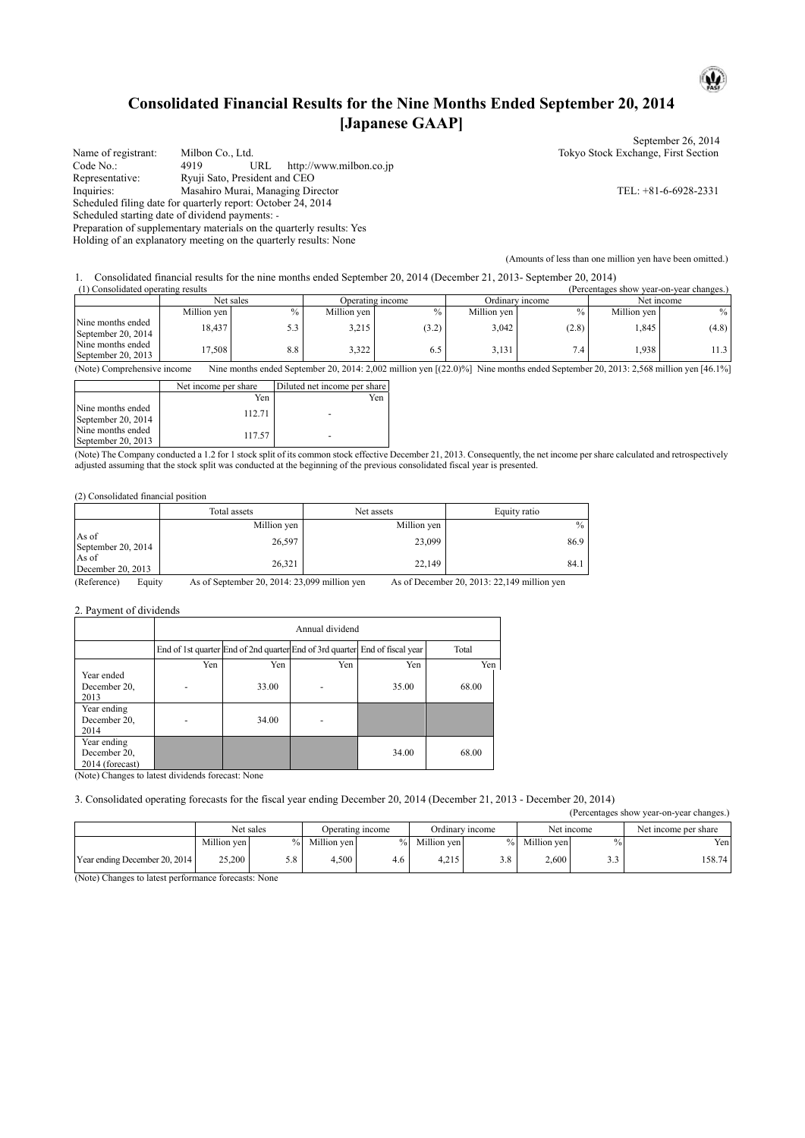## **Consolidated Financial Results for the Nine Months Ended September 20, 2014 [Japanese GAAP]**

|                     |                                                                      | September 26, 2014                                        |
|---------------------|----------------------------------------------------------------------|-----------------------------------------------------------|
| Name of registrant: | Milbon Co., Ltd.                                                     | Tokyo Stock Exchange, First Section                       |
| Code No.:           | http://www.milbon.co.jp<br>URL<br>4919                               |                                                           |
| Representative:     | Ryuji Sato, President and CEO                                        |                                                           |
| Inquiries:          | Masahiro Murai, Managing Director                                    | TEL: $+81-6-6928-2331$                                    |
|                     | Scheduled filing date for quarterly report: October 24, 2014         |                                                           |
|                     | Scheduled starting date of dividend payments: -                      |                                                           |
|                     | Preparation of supplementary materials on the quarterly results: Yes |                                                           |
|                     | Holding of an explanatory meeting on the quarterly results: None     |                                                           |
|                     |                                                                      | (Amounts of less than one million yen have been omitted.) |

1. Consolidated financial results for the nine months ended September 20, 2014 (December 21, 2013- September 20, 2014)

| (1) Consolidated operating results<br>(Percentages show year-on-year changes.) |             |      |             |                  |             |                 |             |            |  |
|--------------------------------------------------------------------------------|-------------|------|-------------|------------------|-------------|-----------------|-------------|------------|--|
|                                                                                | Net sales   |      |             | Operating income |             | Ordinary income |             | Net income |  |
|                                                                                | Million ven | $\%$ | Million ven | $\%$             | Million ven | $\%$            | Million ven | $\%$       |  |
| Nine months ended<br>September 20, 2014                                        | 18.437      |      | 3,215       | (3.2)            | 3,042       | (2.8)           | ,845        | (4.8)      |  |
| Nine months ended<br>September 20, 2013                                        | 17.508      | 8.8  | 3,322       | 6.5              | 3,131       | 7.4             | .938        |            |  |

(Note) Comprehensive income Nine months ended September 20, 2014: 2,002 million yen [(22.0)%] Nine months ended September 20, 2013: 2,568 million yen [46.1%]

|                                         | Net income per share | Diluted net income per share |
|-----------------------------------------|----------------------|------------------------------|
|                                         | Yen                  | Yen                          |
| Nine months ended<br>September 20, 2014 | 112.71               |                              |
| Nine months ended<br>September 20, 2013 | 117.57               |                              |

(Note) The Company conducted a 1.2 for 1 stock split of its common stock effective December 21, 2013. Consequently, the net income per share calculated and retrospectively adjusted assuming that the stock split was conducted at the beginning of the previous consolidated fiscal year is presented.

(2) Consolidated financial position

|                             | Total assets | Net assets  | Equity ratio |
|-----------------------------|--------------|-------------|--------------|
|                             | Million yen  | Million yen | $\%$         |
| As of<br>September 20, 2014 | 26,597       | 23,099      | 86.9         |
| As of<br>December 20, 2013  | 26,321       | 22,149      | 84.1         |

(Reference) Equity As of September 20, 2014: 23,099 million yen As of December 20, 2013: 22,149 million yen

2. Payment of dividends

|                                                                                             | Annual dividend |                      |                                                                             |       |       |  |  |
|---------------------------------------------------------------------------------------------|-----------------|----------------------|-----------------------------------------------------------------------------|-------|-------|--|--|
|                                                                                             |                 |                      | End of 1st quarter End of 2nd quarter End of 3rd quarter End of fiscal year |       | Total |  |  |
|                                                                                             | Yen             | Yen                  | Yen                                                                         | Yen   | Yen   |  |  |
| Year ended<br>December 20,<br>2013                                                          |                 | 33.00                |                                                                             | 35.00 | 68.00 |  |  |
| Year ending<br>December 20,<br>2014                                                         |                 | 34.00                |                                                                             |       |       |  |  |
| Year ending<br>December 20,<br>2014 (forecast)<br>$\sim$ $\sim$ $\sim$ $\sim$ $\sim$ $\sim$ | $\sim$          | $\sim$ $\sim$ $\sim$ |                                                                             | 34.00 | 68.00 |  |  |

(Note) Changes to latest dividends forecast: None

3. Consolidated operating forecasts for the fiscal year ending December 20, 2014 (December 21, 2013 - December 20, 2014)

(Percentages show year-on-year changes.)

 $\mathbf{u}$ 

|                               | Net sales   |      |             | Operating income  |             | Ordinary income |             | Net income | Net income per share |
|-------------------------------|-------------|------|-------------|-------------------|-------------|-----------------|-------------|------------|----------------------|
|                               | Million yen | $\%$ | Million yen | $\%$ <sub>1</sub> | Million yen | $\%$            | Million yen | $\%$       | Yen                  |
| Year ending December 20, 2014 | 25.200      | D.Ö  | 4.500       | 4.6               | 4.215       | 2.0             | 2.600       | - -        | 158.74               |

(Note) Changes to latest performance forecasts: None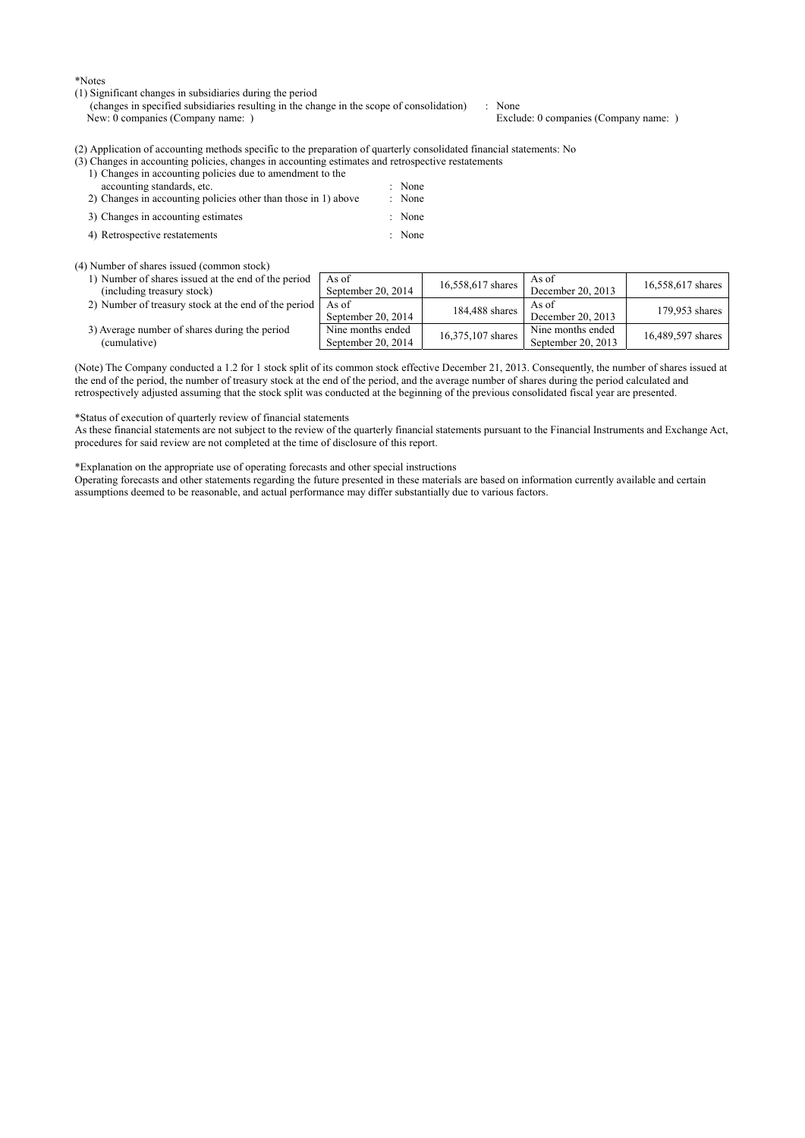\*Notes

(1) Significant changes in subsidiaries during the period

(changes in specified subsidiaries resulting in the change in the scope of consolidation) : None<br>New: 0 companies (Company name: ) Exclude: 0 companies (Company name: ) New: 0 companies (Company name: )

(2) Application of accounting methods specific to the preparation of quarterly consolidated financial statements: No

- (3) Changes in accounting policies, changes in accounting estimates and retrospective restatements
	- 1) Changes in accounting policies due to amendment to the accounting standards, etc.  $\qquad \qquad$  : None
	- 2) Changes in accounting policies other than those in 1) above : None
	- 3) Changes in accounting estimates : None
	- 4) Retrospective restatements : None
- 

### (4) Number of shares issued (common stock)

| 1) Number of shares issued at the end of the period<br>(including treasury stock) | As of<br>September 20, 2014             | 16,558,617 shares | As of<br>December 20, 2013              | 16,558,617 shares |
|-----------------------------------------------------------------------------------|-----------------------------------------|-------------------|-----------------------------------------|-------------------|
| 2) Number of treasury stock at the end of the period                              | As of<br>September 20, 2014             | 184,488 shares    | As of<br>December 20, 2013              | 179.953 shares    |
| 3) Average number of shares during the period<br>(cumulative)                     | Nine months ended<br>September 20, 2014 | 16,375,107 shares | Nine months ended<br>September 20, 2013 | 16,489,597 shares |

(Note) The Company conducted a 1.2 for 1 stock split of its common stock effective December 21, 2013. Consequently, the number of shares issued at the end of the period, the number of treasury stock at the end of the period, and the average number of shares during the period calculated and retrospectively adjusted assuming that the stock split was conducted at the beginning of the previous consolidated fiscal year are presented.

#### \*Status of execution of quarterly review of financial statements

As these financial statements are not subject to the review of the quarterly financial statements pursuant to the Financial Instruments and Exchange Act, procedures for said review are not completed at the time of disclosure of this report.

\*Explanation on the appropriate use of operating forecasts and other special instructions

Operating forecasts and other statements regarding the future presented in these materials are based on information currently available and certain assumptions deemed to be reasonable, and actual performance may differ substantially due to various factors.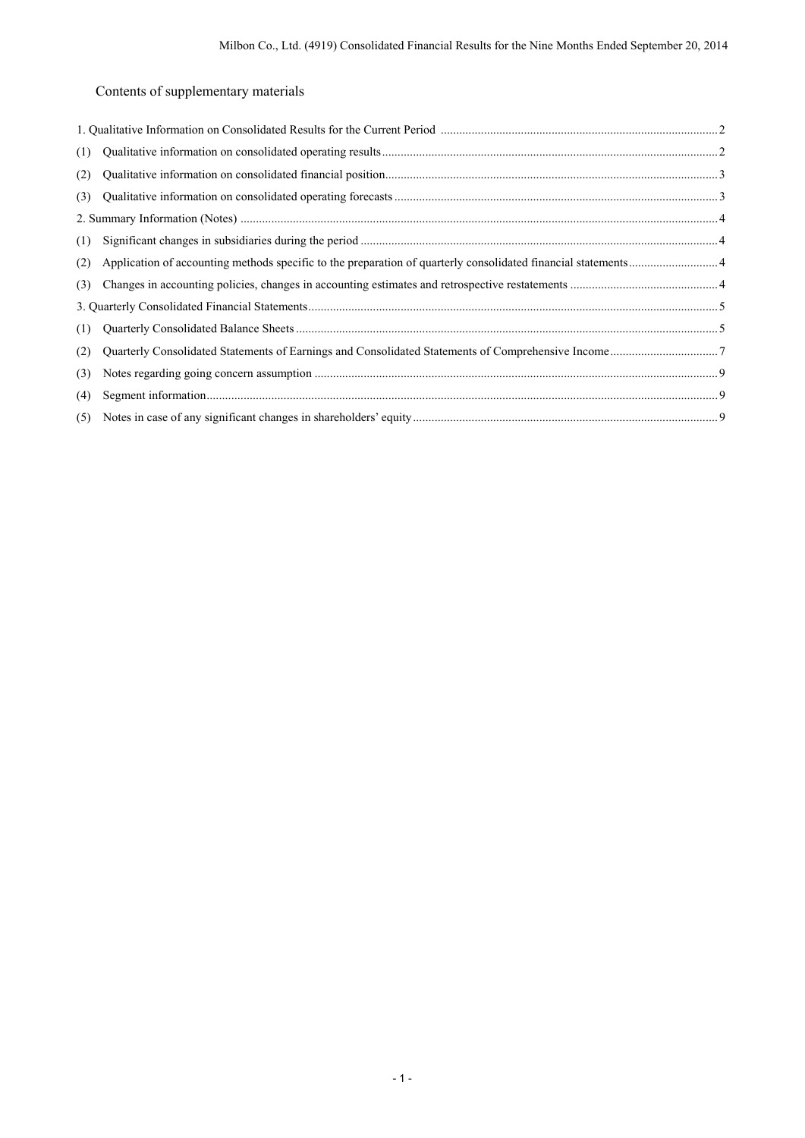# Contents of supplementary materials

| (1) |  |
|-----|--|
| (2) |  |
| (3) |  |
|     |  |
| (1) |  |
| (2) |  |
| (3) |  |
|     |  |
| (1) |  |
| (2) |  |
| (3) |  |
| (4) |  |
| (5) |  |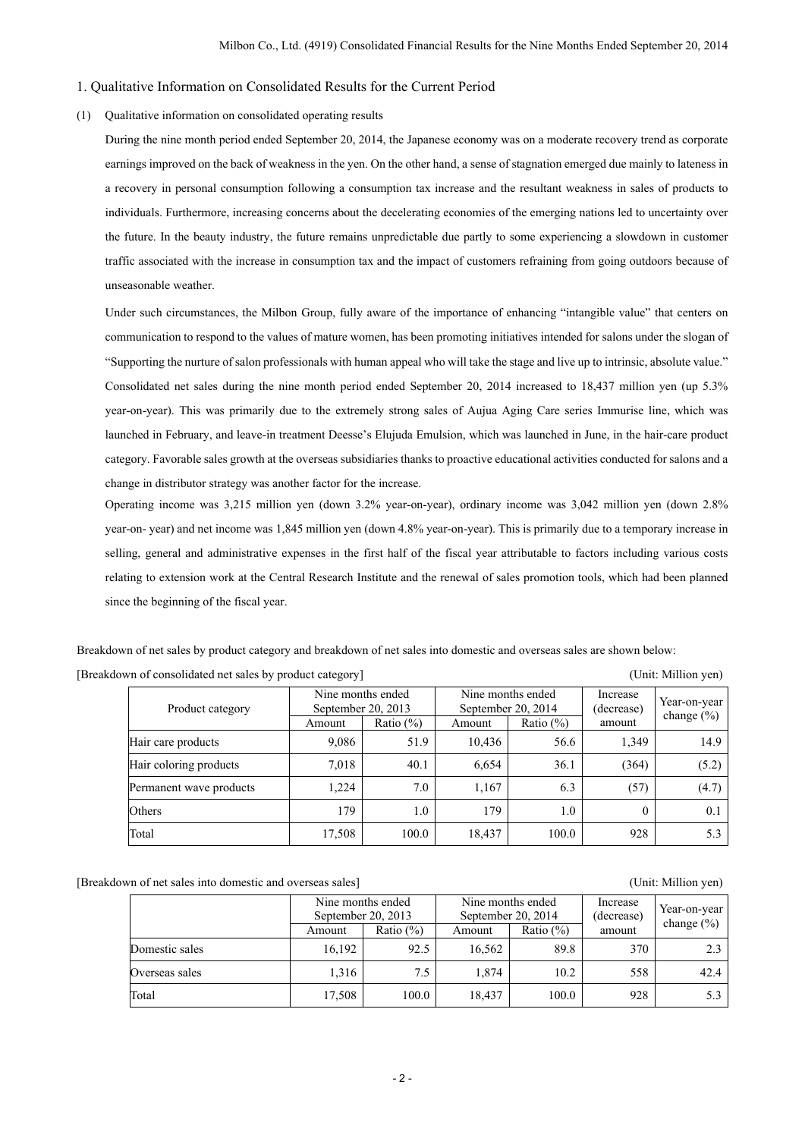### 1. Qualitative Information on Consolidated Results for the Current Period

### (1) Qualitative information on consolidated operating results

During the nine month period ended September 20, 2014, the Japanese economy was on a moderate recovery trend as corporate earnings improved on the back of weakness in the yen. On the other hand, a sense of stagnation emerged due mainly to lateness in a recovery in personal consumption following a consumption tax increase and the resultant weakness in sales of products to individuals. Furthermore, increasing concerns about the decelerating economies of the emerging nations led to uncertainty over the future. In the beauty industry, the future remains unpredictable due partly to some experiencing a slowdown in customer traffic associated with the increase in consumption tax and the impact of customers refraining from going outdoors because of unseasonable weather.

Under such circumstances, the Milbon Group, fully aware of the importance of enhancing "intangible value" that centers on communication to respond to the values of mature women, has been promoting initiatives intended for salons under the slogan of "Supporting the nurture of salon professionals with human appeal who will take the stage and live up to intrinsic, absolute value." Consolidated net sales during the nine month period ended September 20, 2014 increased to 18,437 million yen (up 5.3% year-on-year). This was primarily due to the extremely strong sales of Aujua Aging Care series Immurise line, which was launched in February, and leave-in treatment Deesse's Elujuda Emulsion, which was launched in June, in the hair-care product category. Favorable sales growth at the overseas subsidiaries thanks to proactive educational activities conducted for salons and a change in distributor strategy was another factor for the increase.

Operating income was 3,215 million yen (down 3.2% year-on-year), ordinary income was 3,042 million yen (down 2.8% year-on- year) and net income was 1,845 million yen (down 4.8% year-on-year). This is primarily due to a temporary increase in selling, general and administrative expenses in the first half of the fiscal year attributable to factors including various costs relating to extension work at the Central Research Institute and the renewal of sales promotion tools, which had been planned since the beginning of the fiscal year.

Breakdown of net sales by product category and breakdown of net sales into domestic and overseas sales are shown below: [Breakdown of consolidated net sales by product category] (Unit: Million yen)

| Product category        | Nine months ended<br>September 20, 2013 |               | September 20, 2014 | Nine months ended | Increase<br>(decrease) | Year-on-year<br>change $(\% )$ |
|-------------------------|-----------------------------------------|---------------|--------------------|-------------------|------------------------|--------------------------------|
|                         | Amount                                  | Ratio $(\% )$ | Amount             | Ratio $(\% )$     | amount                 |                                |
| Hair care products      | 9,086                                   | 51.9          | 10,436             | 56.6              | 1.349                  | 14.9                           |
| Hair coloring products  | 7,018                                   | 40.1          | 6,654              | 36.1              | (364)                  | (5.2)                          |
| Permanent wave products | 1.224                                   | 7.0           | 1,167              | 6.3               | (57)                   | (4.7)                          |
| Others                  | 179                                     | 1.0           | 179                | 1.0               | $\theta$               | 0.1                            |
| Total                   | 17,508                                  | 100.0         | 18,437             | 100.0             | 928                    | 5.3                            |

[Breakdown of net sales into domestic and overseas sales] (Unit: Million yen)

 Nine months ended September 20, 2013 Nine months ended September 20, 2014 Increase (decrease) amount Year-on-year<br>change (%)  $\frac{\text{Spherical Z0, 2013}}{\text{Amount}}$  Ratio (%) Amount Ratio (%) amount Ratio (%) Domestic sales 16,192 92.5 16,562 89.8 370 2.3 Overseas sales 1,316 7.5 1,874 10.2 558 42.4 Total 17,508 100.0 18,437 100.0 928 5.3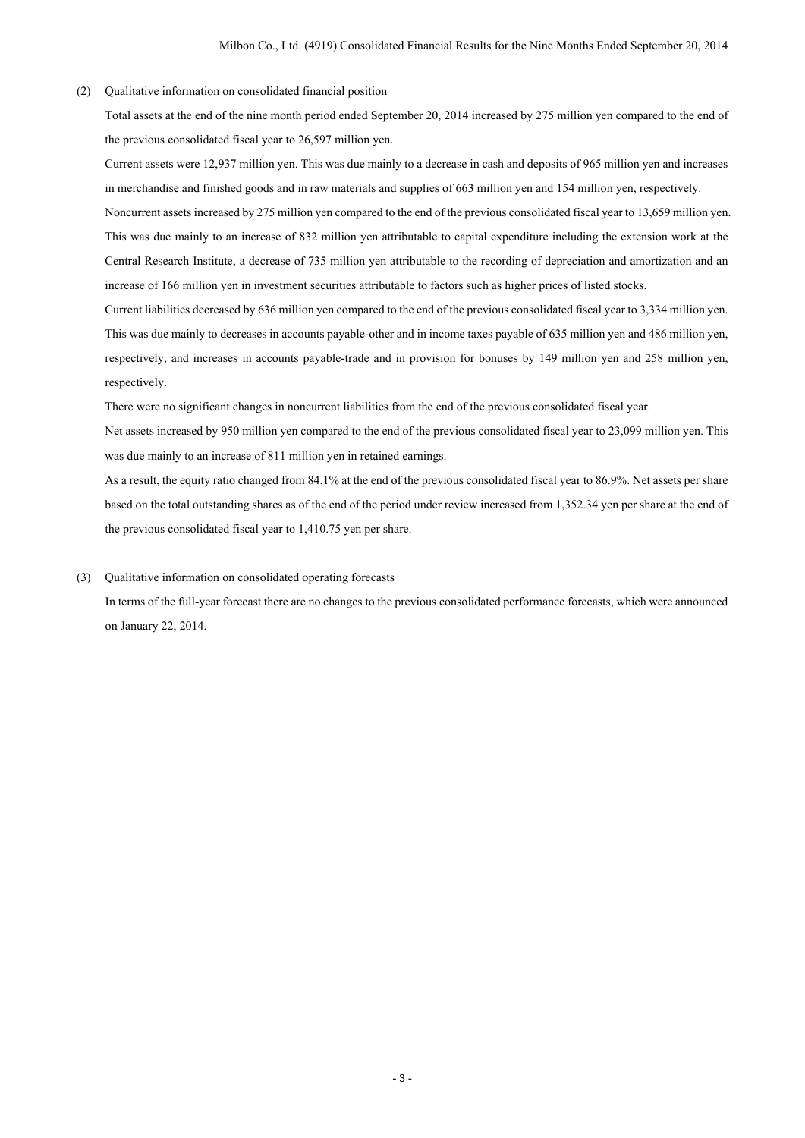(2) Qualitative information on consolidated financial position

Total assets at the end of the nine month period ended September 20, 2014 increased by 275 million yen compared to the end of the previous consolidated fiscal year to 26,597 million yen.

Current assets were 12,937 million yen. This was due mainly to a decrease in cash and deposits of 965 million yen and increases in merchandise and finished goods and in raw materials and supplies of 663 million yen and 154 million yen, respectively.

Noncurrent assets increased by 275 million yen compared to the end of the previous consolidated fiscal year to 13,659 million yen. This was due mainly to an increase of 832 million yen attributable to capital expenditure including the extension work at the Central Research Institute, a decrease of 735 million yen attributable to the recording of depreciation and amortization and an increase of 166 million yen in investment securities attributable to factors such as higher prices of listed stocks.

Current liabilities decreased by 636 million yen compared to the end of the previous consolidated fiscal year to 3,334 million yen. This was due mainly to decreases in accounts payable-other and in income taxes payable of 635 million yen and 486 million yen, respectively, and increases in accounts payable-trade and in provision for bonuses by 149 million yen and 258 million yen, respectively.

There were no significant changes in noncurrent liabilities from the end of the previous consolidated fiscal year.

Net assets increased by 950 million yen compared to the end of the previous consolidated fiscal year to 23,099 million yen. This was due mainly to an increase of 811 million yen in retained earnings.

As a result, the equity ratio changed from 84.1% at the end of the previous consolidated fiscal year to 86.9%. Net assets per share based on the total outstanding shares as of the end of the period under review increased from 1,352.34 yen per share at the end of the previous consolidated fiscal year to 1,410.75 yen per share.

### (3) Qualitative information on consolidated operating forecasts

In terms of the full-year forecast there are no changes to the previous consolidated performance forecasts, which were announced on January 22, 2014.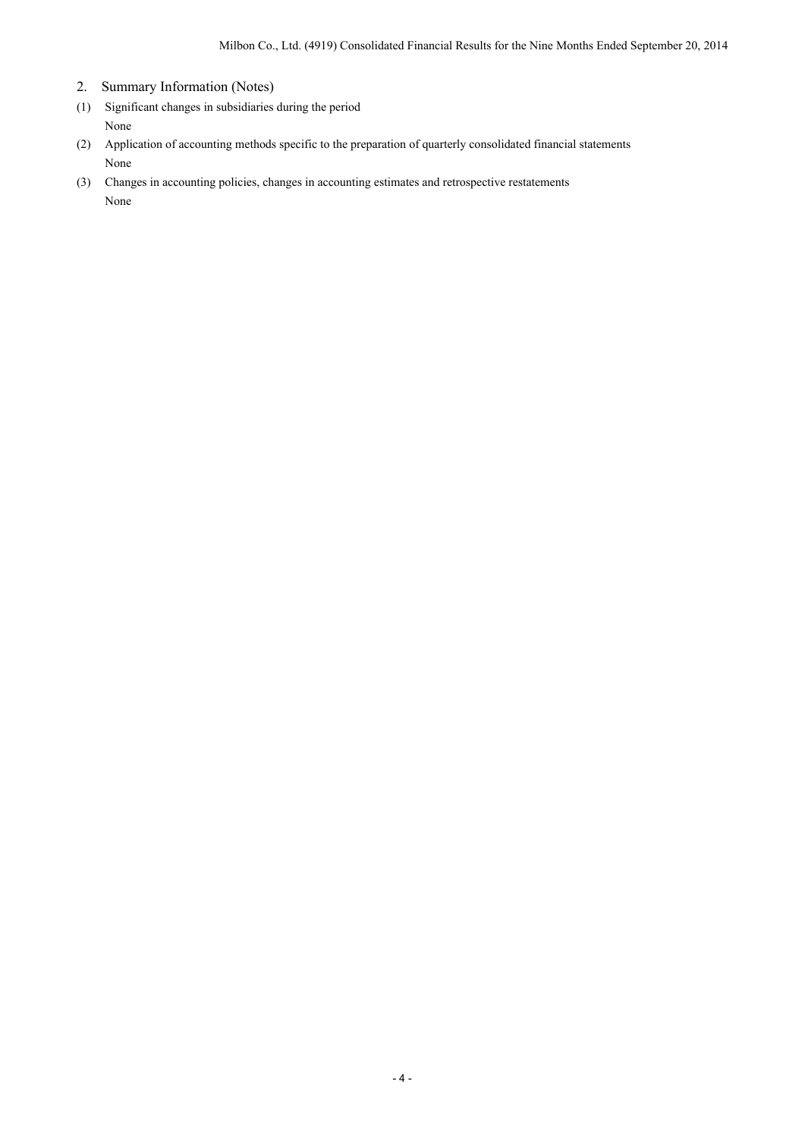- 2. Summary Information (Notes)
- (1) Significant changes in subsidiaries during the period None
- (2) Application of accounting methods specific to the preparation of quarterly consolidated financial statements None
- (3) Changes in accounting policies, changes in accounting estimates and retrospective restatements None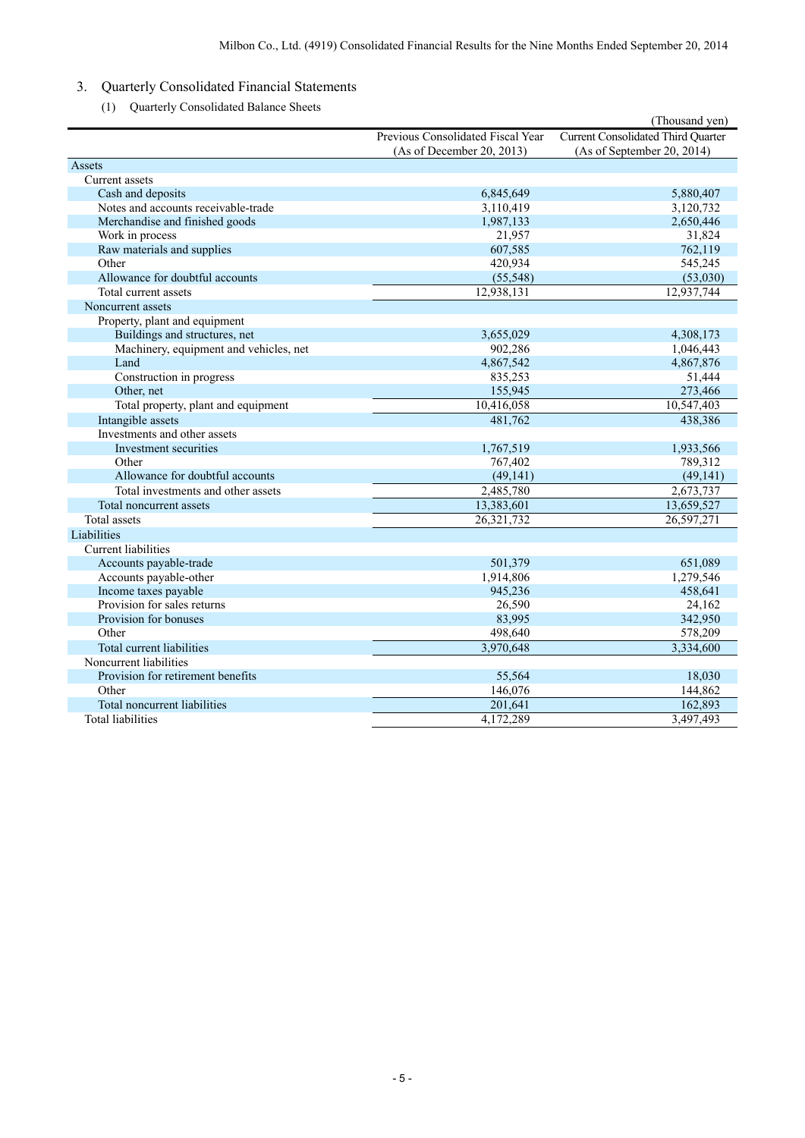- 3. Quarterly Consolidated Financial Statements
	- (1) Quarterly Consolidated Balance Sheets

|                                        |                                   | (Thousand yen)                            |
|----------------------------------------|-----------------------------------|-------------------------------------------|
|                                        | Previous Consolidated Fiscal Year | <b>Current Consolidated Third Quarter</b> |
|                                        | (As of December 20, 2013)         | (As of September 20, 2014)                |
| Assets                                 |                                   |                                           |
| Current assets                         |                                   |                                           |
| Cash and deposits                      | 6,845,649                         | 5,880,407                                 |
| Notes and accounts receivable-trade    | 3,110,419                         | 3,120,732                                 |
| Merchandise and finished goods         | 1,987,133                         | 2,650,446                                 |
| Work in process                        | 21,957                            | 31,824                                    |
| Raw materials and supplies             | 607,585                           | 762,119                                   |
| Other                                  | 420,934                           | 545,245                                   |
| Allowance for doubtful accounts        | (55, 548)                         | (53,030)                                  |
| Total current assets                   | 12,938,131                        | 12,937,744                                |
| Noncurrent assets                      |                                   |                                           |
| Property, plant and equipment          |                                   |                                           |
| Buildings and structures, net          | 3,655,029                         | 4,308,173                                 |
| Machinery, equipment and vehicles, net | 902,286                           | 1,046,443                                 |
| Land                                   | 4,867,542                         | 4,867,876                                 |
| Construction in progress               | 835,253                           | 51,444                                    |
| Other, net                             | 155,945                           | 273,466                                   |
| Total property, plant and equipment    | 10,416,058                        | 10,547,403                                |
| Intangible assets                      | 481,762                           | 438,386                                   |
| Investments and other assets           |                                   |                                           |
| Investment securities                  | 1,767,519                         | 1,933,566                                 |
| Other                                  | 767,402                           | 789,312                                   |
| Allowance for doubtful accounts        | (49, 141)                         | (49, 141)                                 |
| Total investments and other assets     | 2,485,780                         | 2,673,737                                 |
| Total noncurrent assets                | 13,383,601                        | 13,659,527                                |
| Total assets                           | 26,321,732                        | 26,597,271                                |
| Liabilities                            |                                   |                                           |
| <b>Current</b> liabilities             |                                   |                                           |
| Accounts payable-trade                 | 501,379                           | 651,089                                   |
| Accounts payable-other                 | 1,914,806                         | 1,279,546                                 |
| Income taxes payable                   | 945,236                           | 458,641                                   |
| Provision for sales returns            | 26,590                            | 24,162                                    |
| Provision for bonuses                  | 83,995                            | 342,950                                   |
| Other                                  | 498,640                           | 578,209                                   |
| Total current liabilities              | 3,970,648                         | 3,334,600                                 |
| Noncurrent liabilities                 |                                   |                                           |
| Provision for retirement benefits      | 55,564                            | 18,030                                    |
| Other                                  | 146,076                           | 144,862                                   |
| Total noncurrent liabilities           | 201,641                           | 162,893                                   |
| <b>Total liabilities</b>               | 4,172,289                         | 3,497,493                                 |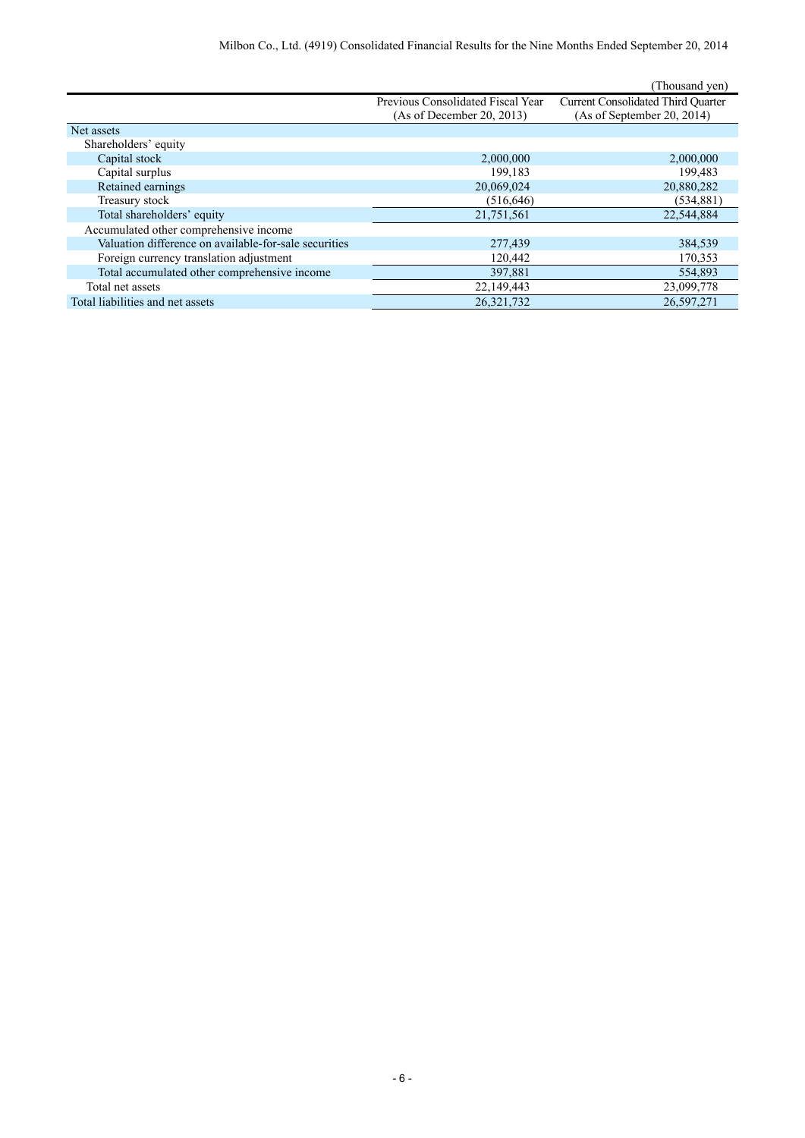|                                                       |                                   | (Thousand yen)                            |
|-------------------------------------------------------|-----------------------------------|-------------------------------------------|
|                                                       | Previous Consolidated Fiscal Year | <b>Current Consolidated Third Quarter</b> |
|                                                       | (As of December 20, 2013)         | (As of September 20, 2014)                |
| Net assets                                            |                                   |                                           |
| Shareholders' equity                                  |                                   |                                           |
| Capital stock                                         | 2,000,000                         | 2,000,000                                 |
| Capital surplus                                       | 199,183                           | 199,483                                   |
| Retained earnings                                     | 20,069,024                        | 20,880,282                                |
| Treasury stock                                        | (516, 646)                        | (534, 881)                                |
| Total shareholders' equity                            | 21,751,561                        | 22,544,884                                |
| Accumulated other comprehensive income                |                                   |                                           |
| Valuation difference on available-for-sale securities | 277,439                           | 384,539                                   |
| Foreign currency translation adjustment               | 120,442                           | 170,353                                   |
| Total accumulated other comprehensive income          | 397,881                           | 554,893                                   |
| Total net assets                                      | 22,149,443                        | 23,099,778                                |
| Total liabilities and net assets                      | 26,321,732                        | 26,597,271                                |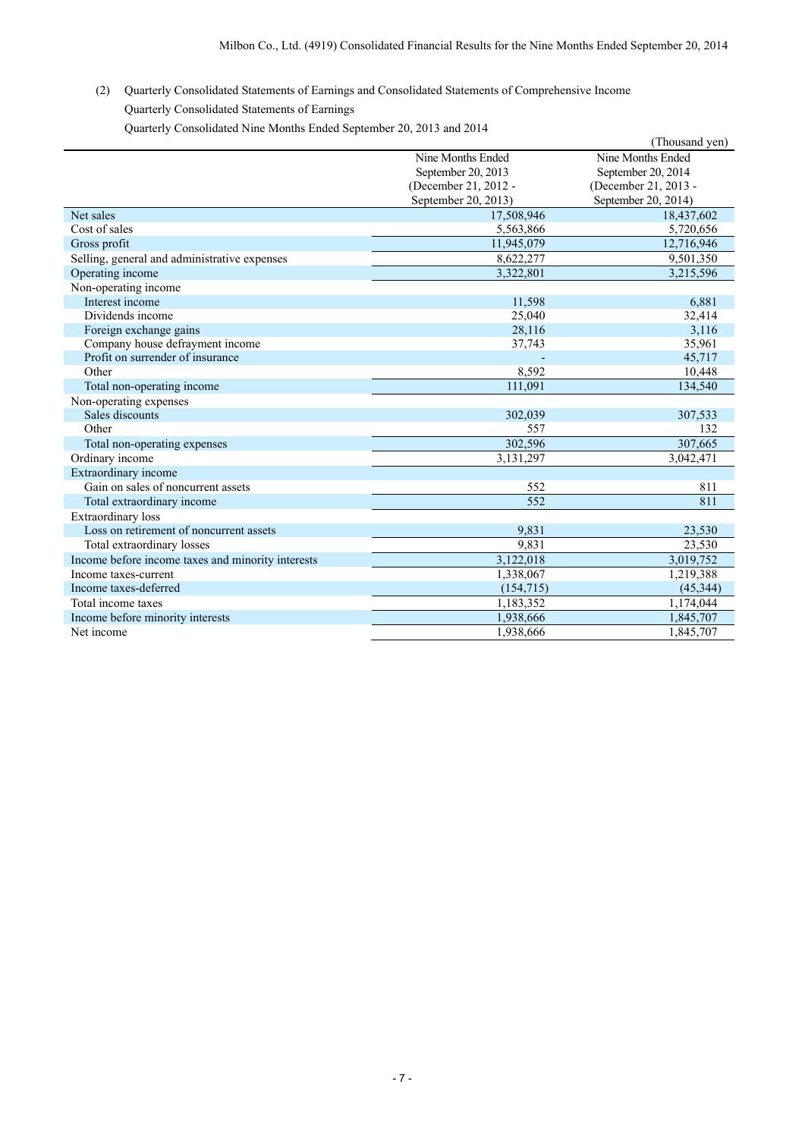(2) Quarterly Consolidated Statements of Earnings and Consolidated Statements of Comprehensive Income Quarterly Consolidated Statements of Earnings

Quarterly Consolidated Nine Months Ended September 20, 2013 and 2014

|                                                   |                      | (Thousand yen)       |
|---------------------------------------------------|----------------------|----------------------|
|                                                   | Nine Months Ended    | Nine Months Ended    |
|                                                   | September 20, 2013   | September 20, 2014   |
|                                                   | (December 21, 2012 - | (December 21, 2013 - |
|                                                   | September 20, 2013)  | September 20, 2014)  |
| Net sales                                         | 17,508,946           | 18,437,602           |
| Cost of sales                                     | 5,563,866            | 5,720,656            |
| Gross profit                                      | 11,945,079           | 12,716,946           |
| Selling, general and administrative expenses      | 8,622,277            | 9,501,350            |
| Operating income                                  | 3,322,801            | 3,215,596            |
| Non-operating income                              |                      |                      |
| Interest income                                   | 11,598               | 6,881                |
| Dividends income                                  | 25,040               | 32,414               |
| Foreign exchange gains                            | 28,116               | 3,116                |
| Company house defrayment income                   | 37,743               | 35,961               |
| Profit on surrender of insurance                  |                      | 45,717               |
| Other                                             | 8,592                | 10,448               |
| Total non-operating income                        | 111,091              | 134,540              |
| Non-operating expenses                            |                      |                      |
| Sales discounts                                   | 302,039              | 307,533              |
| Other                                             | 557                  | 132                  |
| Total non-operating expenses                      | 302,596              | 307,665              |
| Ordinary income                                   | 3,131,297            | 3,042,471            |
| Extraordinary income                              |                      |                      |
| Gain on sales of noncurrent assets                | 552                  | 811                  |
| Total extraordinary income                        | 552                  | 811                  |
| Extraordinary loss                                |                      |                      |
| Loss on retirement of noncurrent assets           | 9,831                | 23,530               |
| Total extraordinary losses                        | 9,831                | 23,530               |
| Income before income taxes and minority interests | 3,122,018            | 3,019,752            |
| Income taxes-current                              | 1,338,067            | 1,219,388            |
| Income taxes-deferred                             | (154, 715)           | (45, 344)            |
| Total income taxes                                | 1,183,352            | 1,174,044            |
| Income before minority interests                  | 1,938,666            | 1,845,707            |
| Net income                                        | 1.938.666            | 1,845,707            |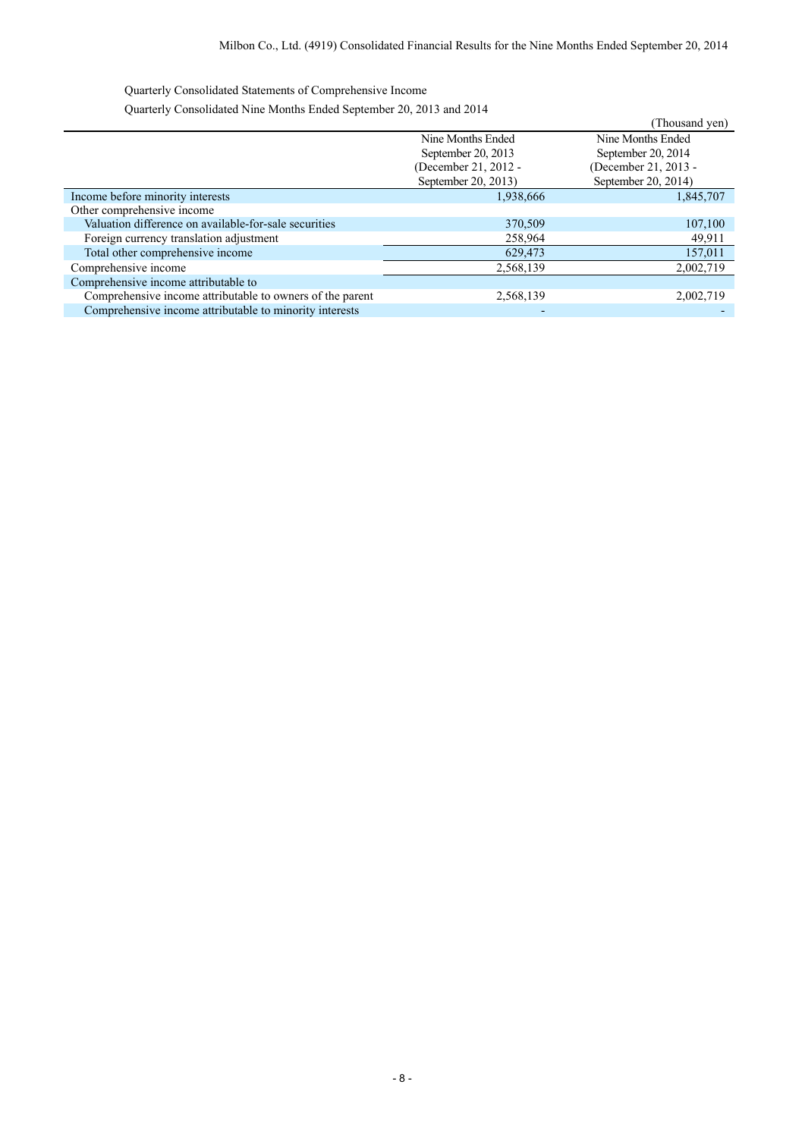Quarterly Consolidated Statements of Comprehensive Income

Quarterly Consolidated Nine Months Ended September 20, 2013 and 2014

|                          | Thousand yen)        |
|--------------------------|----------------------|
| Nine Months Ended        | Nine Months Ended    |
| September 20, 2013       | September 20, 2014   |
| (December 21, 2012 -     | (December 21, 2013 - |
| September 20, 2013)      | September 20, 2014)  |
| 1,938,666                | 1,845,707            |
|                          |                      |
| 370,509                  | 107,100              |
| 258,964                  | 49,911               |
| 629,473                  | 157,011              |
| 2,568,139                | 2,002,719            |
|                          |                      |
| 2,568,139                | 2,002,719            |
| $\overline{\phantom{0}}$ |                      |
|                          |                      |